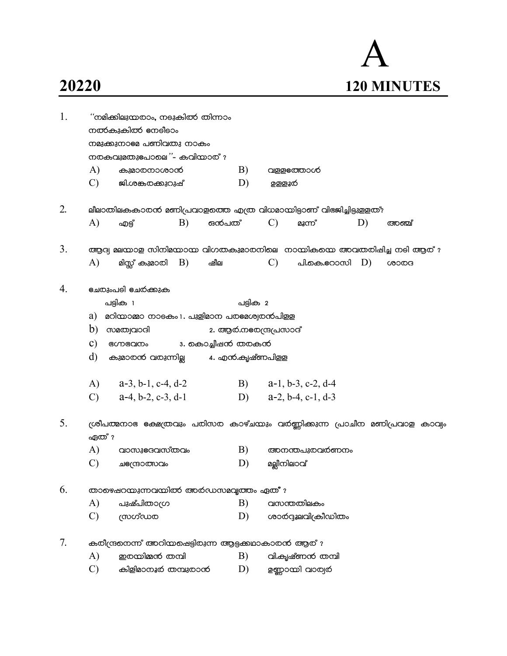## 20220

| 1. |                                                                                | ''നമിക്കിലുന്മതാം, നടുകിത്ത തിന്നാം<br>നൽകുകിൽ നേലീലാം<br>നമുക്കുനാലേ പണിവതു നാകം<br>നതകവുമതുഭപാലെ"- കവിന്മാത് $r$ |    |       |          |                       |                         |    |       |  |
|----|--------------------------------------------------------------------------------|--------------------------------------------------------------------------------------------------------------------|----|-------|----------|-----------------------|-------------------------|----|-------|--|
|    | A)                                                                             |                                                                                                                    |    |       | B)       |                       |                         |    |       |  |
|    |                                                                                | കുമാരനാശാൻ                                                                                                         |    |       |          |                       | വളളഭത്താൾ               |    |       |  |
|    | $\mathcal{C}$                                                                  | ജി.ശങ്കരക്കുറുഷ്                                                                                                   |    |       | D)       | <u>ഉള്ളൂര്</u>        |                         |    |       |  |
| 2. |                                                                                | ലീലാതിലകകാരൻ മണിപ്രവാളത്തെ എത്ര വിധമായിട്ടാണ് വിഭജിച്ചിട്ടുളളത്?                                                   |    |       |          |                       |                         |    |       |  |
|    | $\bf{A}$                                                                       | എട്ട്                                                                                                              | B) | ഒൻപത് |          | $\mathcal{C}$         | മൂന്ന്                  | D) | അഞ്ച് |  |
|    |                                                                                |                                                                                                                    |    |       |          |                       |                         |    |       |  |
| 3. |                                                                                | ആദ്യ മലന്മാള സിനിമനാന്മ വിഗതകുമാരനിലെ നാന്മികന്മെ അവതരിഷിച്ച നടി ആര് $r$                                           |    |       |          |                       |                         |    |       |  |
|    | A)                                                                             |                                                                                                                    |    | ഷീല   |          | $\mathcal{C}$ )       | പി.കെ.ഭറാസി $D$ )       |    | ശാരദ  |  |
| 4. |                                                                                | <u>ഭചരുംപ</u> ടി ഭചർക്കുക                                                                                          |    |       |          |                       |                         |    |       |  |
|    |                                                                                | പട്ടിക 1                                                                                                           |    |       | പട്ടിക 2 |                       |                         |    |       |  |
|    | $a)$ $a$ റിന്മാമ്മാ നാടകം $1.$ പുളിമാന പരമേശ്വരന്പിളള                          |                                                                                                                    |    |       |          |                       |                         |    |       |  |
|    |                                                                                | $b)$ $\omega$ and $\omega$                                                                                         |    |       |          | 2. ആർ.നഭരന്ദ്രപ്രസാദ് |                         |    |       |  |
|    | $\mathbf{c})$                                                                  | ഭഗ്നഭവനം 3. കൊച്ചീഷൻ തരകൻ                                                                                          |    |       |          |                       |                         |    |       |  |
|    | d)                                                                             | കുമാരൻ വരുന്നില്ല           4. എൻ.കൃഷ്ണപിളള                                                                        |    |       |          |                       |                         |    |       |  |
|    |                                                                                | A) $a-3, b-1, c-4, d-2$                                                                                            |    |       |          |                       | B) $a-1, b-3, c-2, d-4$ |    |       |  |
|    |                                                                                | C) $a-4, b-2, c-3, d-1$                                                                                            |    |       |          |                       | D) $a-2, b-4, c-1, d-3$ |    |       |  |
|    |                                                                                |                                                                                                                    |    |       |          |                       |                         |    |       |  |
| 5. | ശ്രീപത്മനാഭ ക്ഷേത്രവും പരിസര കാഴ്ചന്മും വർണ്ണിക്കുന്ന പ്രാചീന മണിപ്രവാള കാവ്വം |                                                                                                                    |    |       |          |                       |                         |    |       |  |
|    | ഏത് ?                                                                          |                                                                                                                    |    |       |          |                       |                         |    |       |  |
|    | A)                                                                             | വാസുഭദവസ്തവം                                                                                                       |    |       | B)       |                       | അനന്തപുരവരണനം           |    |       |  |
|    | $\mathcal{C}$                                                                  | ചുഭന്ദ്രാത്സവം                                                                                                     |    |       | D)       | മല്ലീനിലാവ്           |                         |    |       |  |
| 6. |                                                                                | താഴെഷറന്മുന്നവന്തിൽ അർഡസമവൃത്തം ഏത് ?                                                                              |    |       |          |                       |                         |    |       |  |
|    | A)                                                                             | പുഷ്പിതാഗ്ര                                                                                                        |    |       | B)       | വസന്തതിലകം            |                         |    |       |  |
|    | $\mathcal{C}$                                                                  | യഗ്ഡത                                                                                                              |    |       | D)       |                       | ശാർദ്ദുലവിക്രീഡിതം      |    |       |  |
| 7. |                                                                                | കരീന്ദ്രനെന്ന് അറിയപ്പെട്ടിരുന്ന ആട്ടക്കഥാകാരന് ആര്?                                                               |    |       |          |                       |                         |    |       |  |
|    | A)                                                                             | ഇരയിമ്മൻ തമ്പി                                                                                                     |    |       | B)       |                       | വി.കൃഷ്ണൻ തമ്പി         |    |       |  |
|    | $\mathcal{C}$                                                                  | കിളിമാനൂർ തമ്പുതാൻ                                                                                                 |    |       | D)       |                       | ഉണ്ണാന്മി വാര്വര്       |    |       |  |
|    |                                                                                |                                                                                                                    |    |       |          |                       |                         |    |       |  |

## $\overline{\mathsf{A}}$ 120 MINUTES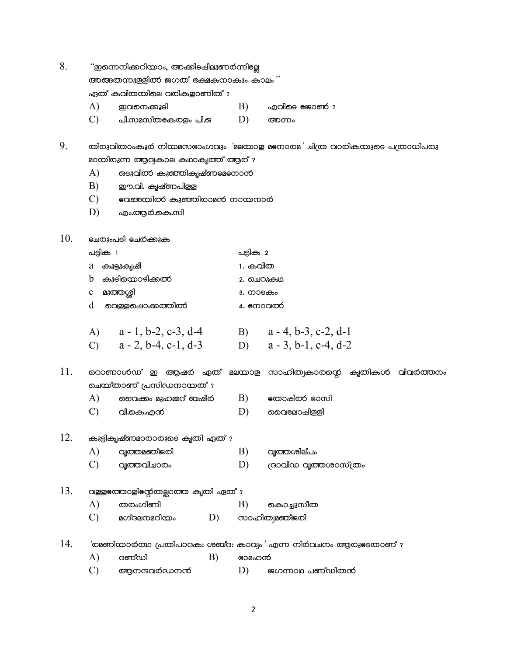8. ''ഇന്നെനിക്കറിയാം, അക്കിടഷിലുണർന്നില്ലേ

അങ്ങതന്നുള്ളിൽ ജഗത് ഭക്ഷകനാകും കാലം''

ഏത് കവിതയിലെ വരികളാണിത് ?

- $B)$ ഇവനെക്കൂടി എവി**ടെ** ജോൺ ?
- $\mathcal{C}$  $D)$ പി.സമസ്തലകരളം പി.ഒ അന്നം

9. തിരുവിതാംകൂർ നിയമസഭാംഗവും 'മലയാള മനോരമ' ചിത്ര വാരികയുടെ പത്രാധിപരു മായിരുന്ന ആദ്യകാല കഥാകൃത്ത് ആര് ?

- ങടുവിൽ കുഞ്ഞികൃഷ്ണലേനോൻ A)
- $B)$ ഈ.വി. കൃഷ്ണപിള്ള
- earcom control control common education and common C)
- D) എം.ആർ.കെ.സി

10. <u> ലേരുംപ</u>ടി **ലേ**ര്ക്കുക

 $\bf{A}$ 

| പട്ടിക 1                   | പട്ടിക 2  |
|----------------------------|-----------|
| a കൂട്ടുകൃഷി               | 1. കവിത   |
| b കുടിയൊഴിക്ക <del>ൽ</del> | 2. ചെറുകഥ |
| c മുത്തശ <u>്</u> രി       | 3. നാടകം  |

- $d$  ചെള്ളപ്പൊക്കത്തിൽ 4. emogladó
- A)  $a-1, b-2, c-3, d-4$  $a - 4$ , b-3, c-2, d-1 B)  $a - 2$ , b-4, c-1, d-3  $a - 3$ , b-1, c-4, d-2  $\mathbf{C}$  $D)$

11. റൊണാൾഡ് ഇ ആഷർ ഏത് മലയാള സാഹിത്വകാരന്റെ കൃതികൾ വിവർത്തനം ചെയ്താണ് പ്രസിഡനായത് ?

- വൈക്കം മുഹമ്മദ് ബഷീർ തോഷിത്ക് ഭാസി  $\bf{A}$ B)
- $\mathbf{C}$ വി.കെ.എന് D) മൈലോഷിളളി

## 12. കുട്ടികൃഷ്ണമാരാരുടെ കൃതി ഏത് ?

- $\bf{A}$ വ്യത്തമഞ്ജരി B) വ്യത്തശില്പം
- $\mathbf{C}$ വ്യത്തവിചാരം D) രാവിഡ വൃത്തശാസ്ത്രം

## 13. വള്ളഭത്താളി സ്റ്റേതല്ലാത്ത കൃതി ഏത് ?

- A) തരംഗിണി  $B)$ കൊച്ചുസീത
- മഗ്ദലനമറിയം  $\mathcal{C}$ D) സാഹിത്വമഞ്ജരി
- 14. 'രമണിയാർത്ഥ പ്രതിപാദക: ശബ്ദ: കാവ്യം' എന്ന നിർവചനം ആരുടേതാണ് ?
	- $B)$ A) ദണ്ഡി ഭാമഹൻ
	- $\mathbf{C}$ ആനന്ദവർഡനൻ D) ജഗന്നാഥ പണ്ഡിതൻ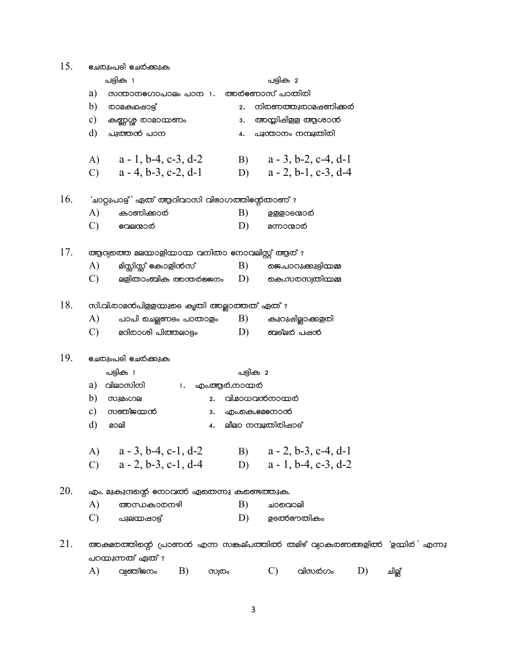| 15. | <u>ഭചരുംപ</u> ടി ഭചർക്കുക                      |                                                            |  |  |  |  |  |
|-----|------------------------------------------------|------------------------------------------------------------|--|--|--|--|--|
|     | പട്ടിക 1                                       | പട്ടിക 2                                                   |  |  |  |  |  |
|     | a)<br>സന്താന <b>ഭഗാപാലം</b> പാന 1.             | അർണോസ് പാതിരി                                              |  |  |  |  |  |
|     | b)<br><b>©ാമകഥ</b> ഷാട്ട്                      | നിരണത്തുരാമഷണിക്കർ<br>2.                                   |  |  |  |  |  |
|     | c)<br>കണ്ണശ്ശ രാമാന്മണം                        | അയ്യിഷിളള ആശാൻ<br>з.                                       |  |  |  |  |  |
|     | d)<br>പുത്തൻ പാന                               | പൂന്താനം നമ്പൂതിരി<br>4.                                   |  |  |  |  |  |
|     | A) $a-1, b-4, c-3, d-2$                        | $a - 3$ , b-2, c-4, d-1<br>B)                              |  |  |  |  |  |
|     | C) $a - 4$ , b-3, c-2, d-1                     | $a - 2$ , b-1, c-3, d-4<br>D)                              |  |  |  |  |  |
| 16. | 'ചാറ്റുപാട്ട്' ഏത് ആദിവാസി വിഭാഗത്തിന്റേതാണ് ? |                                                            |  |  |  |  |  |
|     | A)<br>കാണിക്കാര                                | B)<br>ഉള്ളാടന്മാരി                                         |  |  |  |  |  |
|     | $\mathcal{C}$<br>വേലന്മാന                      | D)<br>മന്നാന്മാരി                                          |  |  |  |  |  |
| 17. | ആദ്വത്തെ മലയാളിയായ വനിതാ നോവലിസ്റ്റ് ആര് ?     |                                                            |  |  |  |  |  |
|     | A)<br>മിസ്സിസ്സ് കോളിന്6സ്                     | $\ket{B}$ ജെ.പാറുക്കുട്ടിയമ്മ                              |  |  |  |  |  |
|     | $\mathcal{C}$                                  | ലളിതാംബിക അന്തര്ജ്ജനം $D)$ കെ.സരസ്വതിയമ്മ                  |  |  |  |  |  |
| 18. | സി.വി.രാമൻപിളളന്മുടെ കൃതി അല്ലാത്തത് ഏത് ?     |                                                            |  |  |  |  |  |
|     | A)                                             | പാപി ചെല്ലണടം പാതാളം $\quad$ B) കുറുഷില്ലാക്കളരി           |  |  |  |  |  |
|     | മദിരാശി പിത്തലാട്ടം<br>C)                      | D)<br>ബല്ലർ പഷൻ                                            |  |  |  |  |  |
| 19. | <b>ല്ചേതുംപടി ടച്ച</b> ര്ക്കുക                 |                                                            |  |  |  |  |  |
|     | പട്ടിക 1                                       | പട്ടിക 2                                                   |  |  |  |  |  |
|     | വിലാസിനി 1. എം.ആർ.നായർ<br>a)                   |                                                            |  |  |  |  |  |
|     | $b)$ സുമംഗല<br>2.                              | വി.മാധവന്6നാന്മർ                                           |  |  |  |  |  |
|     | സഞ്ജന്മൻ<br>c)<br>з.                           | എം.കെ.ലേനോൻ                                                |  |  |  |  |  |
|     | d)<br>മാലി                                     | 4. ലീലാ നമ്പൂതിരിഷാട്                                      |  |  |  |  |  |
|     | A) $a - 3$ , b-4, c-1, d-2                     | B) $a - 2, b - 3, c - 4, d - 1$                            |  |  |  |  |  |
|     | $a - 2$ , b-3, c-1, d-4<br>$\mathcal{C}$       | $a - 1$ , b-4, c-3, d-2<br>D)                              |  |  |  |  |  |
| 20. | എം. മുകുന്ദന്റെ നോവത്ത എതെന്നു കണ്ടെത്തുക.     |                                                            |  |  |  |  |  |
|     | A)<br>അന്ധകാരനഴി                               | B)<br>ചാവൊലി                                               |  |  |  |  |  |
|     | $\mathcal{C}$<br>പുലന്മാഷാട്ട്                 | D)<br>ഉടൽ്ഞതികം                                            |  |  |  |  |  |
| 21. | പറയുന്നത് ഏത് ?                                | അക്ഷരത്തിന്റെ പ്രാണൻ എന്ന സങ്കല്പത്തിൽ തമിഴ് വ്വാകരണങ്ങളിൽ |  |  |  |  |  |

 $(A)$  വ്യഞ്ജനം B) സ്വ**രം** C) almoóo. D) <sub>ച്വി</sub>ല്ല്

'ഉയിർ' എന്നു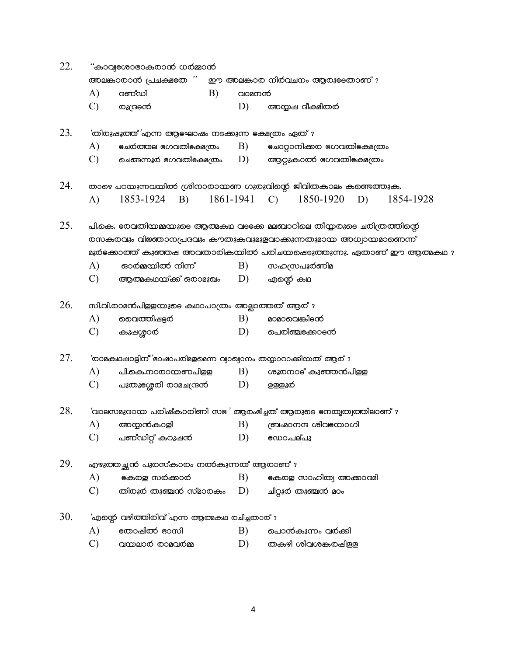| 22.<br>'കാവ്വഭശാഭാകരാൻ ധർമ്മാൻ |                        |                                                                                                                                          |    |           |                    |                                |    |           |
|--------------------------------|------------------------|------------------------------------------------------------------------------------------------------------------------------------------|----|-----------|--------------------|--------------------------------|----|-----------|
|                                | അലങ്കാരാൻ പ്രചക്ഷഭത '' |                                                                                                                                          |    |           |                    | ഈ അലങ്കാര നിര്വചനം ആരുടേതാണ് ? |    |           |
|                                | A)                     | ദണ്ഡി                                                                                                                                    | B) | വാമനന്    |                    |                                |    |           |
|                                | $\mathcal{C}$          | രുന്ദ്രന്                                                                                                                                |    | D)        |                    | അന്മപ ദീക്ഷിതര്                |    |           |
| 23.                            |                        | 'തിരുഷൂത്ത് 'എന്ന ആലഘാഷം നടക്കുന്ന ഭക്ഷത്രം ഏത് ?                                                                                        |    |           |                    |                                |    |           |
|                                | A)                     | ഭചർത്തല ഭഗവതിഭക്ഷത്രം                                                                                                                    |    | B)        |                    | ചോറ്റാനിക്കര ഭഗവതിഭക്ഷത്രം     |    |           |
|                                | $\mathcal{C}$          | ചെങ്ങന്നൂർ ഭഗവതിഭക്ഷത്രം                                                                                                                 |    | D)        |                    | ആറ്റുകാൽ ഭഗവതിഭക്ഷത്രം         |    |           |
| 24.                            |                        | താഴെ പറയുന്നവയിൽ ശ്രീനാരായണ ഗുരുവിന്റെ ജീവിതകാലം കണ്ടെത്തുക.                                                                             |    |           |                    |                                |    |           |
|                                | A)                     | 1853-1924<br><b>B</b> )                                                                                                                  |    | 1861-1941 | $\mathcal{C}$      | 1850-1920                      | D) | 1854-1928 |
| 25.                            |                        | പി.കെ. ഭരവതിന്മമ്മനുടെ ആത്മകഥ വടക്കേ മലബാറിലെ തീയ്യരുടെ ചരിത്രത്തിന്റെ<br>രസകരവും വിജ്ഞാനപ്രദവും കൗതുകവുമുളവാക്കുന്നതുമായ അധ്വായമാണെന്ന് |    |           |                    |                                |    |           |
|                                |                        | $a$ ൂർക്കോത്ത് കുഞ്ഞഷ അവതാരികയിൽ പരിചയക്ഷെടുത്തുന്നു. ഏതാണ് ഈ ആത്മകഥ $\imath$                                                            |    |           |                    |                                |    |           |
|                                | A)                     | ഓർമ്മയിൽ നിന്ന്                                                                                                                          |    | B)        |                    | സഹസ്രപൂര്ണിമ                   |    |           |
|                                | $\mathbf{C}$           | ആത്മകഥയ്ക്ക് ഒരാമുഖം                                                                                                                     |    | D)        | എന്റെ കഥ           |                                |    |           |
| 26.                            |                        | സി.വി.രാമൻപിളളയുടെ കഥാപാത്രം അല്ലാത്തത് ആര്?                                                                                             |    |           |                    |                                |    |           |
|                                | A)                     | വൈത്തിഷട്ടര                                                                                                                              |    | B)        |                    | മാമാവെങ്കിട്രന്                |    |           |
|                                | $\mathcal{C}$          | കുഷശ്ശാര                                                                                                                                 |    | D)        |                    | പെരിഞ്ചുക്കോടന്                |    |           |
| 27.                            |                        | 'രാമകഥഷാട്ടിന്' ഭാഷാപരിമളമെന്ന വ്യാഖ്വാനം തന്മ്പാറാക്കിയത് ആര്?                                                                          |    |           |                    |                                |    |           |
|                                | A)                     | പി.കെ.നാരായണപിളള                                                                                                                         |    | B)        |                    | ശൂരനാട് കുഞ്ഞൻപിള്ള            |    |           |
|                                | $\mathcal{C}$          | പുതുഭശ്ശൂരി രാമചന്ദ്രൻ                                                                                                                   |    | D)        | <u>ඉෂ</u> ුෂූර     |                                |    |           |
| 28.                            |                        | 'വാലസമുദാന്മ പരിഷ്കാരിണി സഭ' ആരംഭിച്ചത് ആരുടെ ഭനതൃത്വത്തിലാണ് ?                                                                          |    |           |                    |                                |    |           |
|                                | A)                     | അയ്യൻകാളി                                                                                                                                |    | B)        |                    | ബ്രഹ്മാനന്ദ ശിവുയോഗി           |    |           |
|                                | $\mathcal{C}$          | പണ്ഡിറ്റ് കറുഷൻ                                                                                                                          |    | D)        | eഡ <b>ാ.പല്</b> പു |                                |    |           |
| 29.                            |                        | എഴുത്തച്ഛൻ പുരസ്കാരം നൽകുന്നത് ആരാണ് ?                                                                                                   |    |           |                    |                                |    |           |
|                                | A)                     | കേരള സർക്കാർ                                                                                                                             |    | B)        |                    | കേരള സാഹിത്വ അക്കാദമി          |    |           |
|                                | $\mathcal{C}$          | തിരൂർ തുഞ്ചൻ സ്മാരകം                                                                                                                     |    | D)        |                    | ചിറ്റൂർ തുഞ്ചൻ മഠം             |    |           |
| 30.                            |                        | 'എന്റെ വഴിത്തിരിവ്'എന്ന ആത്മകഥ രചിച്ചതാര് $\imath$                                                                                       |    |           |                    |                                |    |           |
|                                | A)                     | തോഷിത്ത ഭാസി                                                                                                                             |    | B)        |                    | പൊൻകുന്നം വർക്കി               |    |           |
|                                | $\mathcal{C}$          | വന്മലാർ രാമവർമ്മ                                                                                                                         |    | D)        |                    | തകഴി ശിവശങ്കരഷിള്ള             |    |           |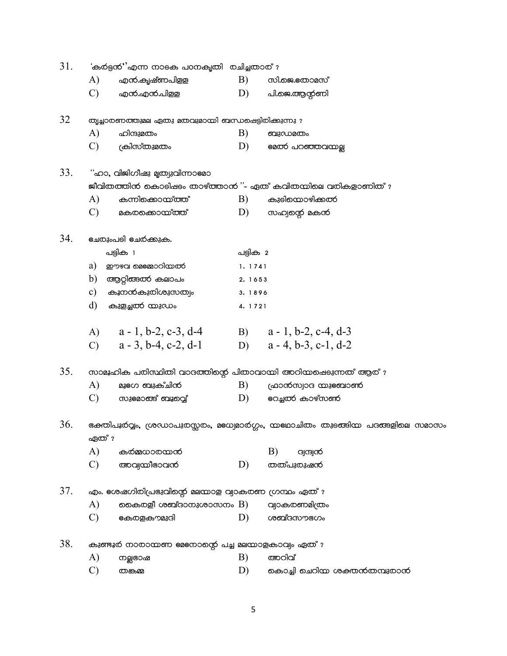| 31. | 'കർട്ടൻ''എന്ന നാടക പഠനകൃതി രചിച്ചതാര് ? |                                                      |          |                                                                               |  |  |  |
|-----|-----------------------------------------|------------------------------------------------------|----------|-------------------------------------------------------------------------------|--|--|--|
|     | A)                                      | എൻ.കൃഷ്ണപിളള                                         | B)       | സി.ജെ.തോമസ്                                                                   |  |  |  |
|     | $\mathcal{C}$                           | എൻ.എൻ.പിളള                                           | D)       | പി.ജെ.ആന്റണി                                                                  |  |  |  |
| 32  |                                         | തൃച്ചാരണത്തുമല ഏതു മതവുമായി ബന്ധപ്പെട്ടിരിക്കുന്നു ? |          |                                                                               |  |  |  |
|     | A)                                      | ഹിന്ദുമതം                                            | B)       | ബുഡമതം                                                                        |  |  |  |
|     | $\mathcal{C}$                           | ക്രിസ്തുമതം                                          | D)       | eacoó പറഞ്ഞവന്മല്ല                                                            |  |  |  |
| 33. |                                         | "ഹാ, വിജിഗീഷു മൃത്യുവിന്നാല്മാ                       |          |                                                                               |  |  |  |
|     |                                         |                                                      |          | ജീവിതത്തിൻ കൊടിഷടം താഴ്ത്താൻ ''- ഏത് കവിതയിലെ വരികളാണിത് $\imath$             |  |  |  |
|     | A)                                      | കുനിക്കൊയ്ത്ത്                                       | B)       | കുടിയൊഴിക്കൽ                                                                  |  |  |  |
|     | $\mathcal{C}$                           | മകരക്കൊയ്ത്ത്                                        | D)       | സഹ്വന്റെ മകൻ                                                                  |  |  |  |
| 34. |                                         | <b>ല്ചതുംപ</b> ടി <b>ഭച</b> ര്ക്കുക.                 |          |                                                                               |  |  |  |
|     |                                         | പട്ടിക 1                                             | പട്ടിക 2 |                                                                               |  |  |  |
|     | a)                                      | ഈഴവ മെജ്മോറിന്മൽ                                     | 1.1741   |                                                                               |  |  |  |
|     |                                         | b) ആറ്റിങ്ങൽ കലാപം                                   | 2. 1653  |                                                                               |  |  |  |
|     | $\mathbf{c})$                           | കുനൻകുതിശുസത്വം                                      | 3.1896   |                                                                               |  |  |  |
|     | $\rm d)$                                | കുളച്ചൽ യുഡം                                         | 4. 1721  |                                                                               |  |  |  |
|     |                                         | A) $a-1, b-2, c-3, d-4$                              |          | B) $a - 1$ , b-2, c-4, d-3                                                    |  |  |  |
|     |                                         | C) $a - 3$ , b-4, c-2, d-1                           |          | D) $a - 4, b - 3, c - 1, d - 2$                                               |  |  |  |
| 35. |                                         |                                                      |          | സാമൂഹിക പരിസ്ഥിതി വാദത്തിന്റെ പിതാവായി അറിയപ്പെടുന്നത് ആര്?                   |  |  |  |
|     | A)                                      | മൂട്രോ ബുക്ചിന്                                      | B)       | ഫ്രാന്6സ്വാദ യുeബാൺ                                                           |  |  |  |
|     | $\mathcal{C}$                           | സുഭമാങ്ങ് ബൂറ്റ്വെ്                                  | D)       | eoച്ചൽ കാഴ്സ <del>്</del> ഞ                                                   |  |  |  |
| 36. | ഏത് ?                                   |                                                      |          | ഭക്തിപൂർവ്വം, ശ്രഡാപുരസ്സരം, മുധ്വമാർഗ്ഗം, യല്ഥാചിതം തുടങ്ങിയ പദങ്ങളിലെ സമാസം |  |  |  |
|     | A)                                      | കർമുധാരന്മൻ                                          |          | B)<br><b>G</b> jagoo                                                          |  |  |  |
|     | $\mathcal{C}$                           | അവ്വയീഭാവന്                                          | D)       | തത്പുരുഷൻ                                                                     |  |  |  |
| 37. |                                         | എം. ഭശഷഗിരിപ്രഭുവിന്റെ മലയാള വ്യാകരണ ഗ്രന്ഥം ഏത് ?   |          |                                                                               |  |  |  |
|     | A)                                      | കൈരളീ ശബ്ദാനുശാസനം $\rm B)$                          |          | വ്വാകരണമിത്രം                                                                 |  |  |  |
|     | $\mathcal{C}$                           | കേരളകൗമുദി                                           | D)       | ശബ്ദസൗഭഗം                                                                     |  |  |  |
| 38. |                                         | കുണ്ടൂർ നാരായണ ലേനോന്റെ പച്ച മലയാളകാവ്വം ഏത് ?       |          |                                                                               |  |  |  |
|     | A)                                      | നല്ലഭാഷ                                              | B)       | അറിവ്                                                                         |  |  |  |
|     | C)                                      | തങ്കമ്മ                                              | D)       | കൊച്ചി ചെറിയ ശക്തൻതമ്പുരാൻ                                                    |  |  |  |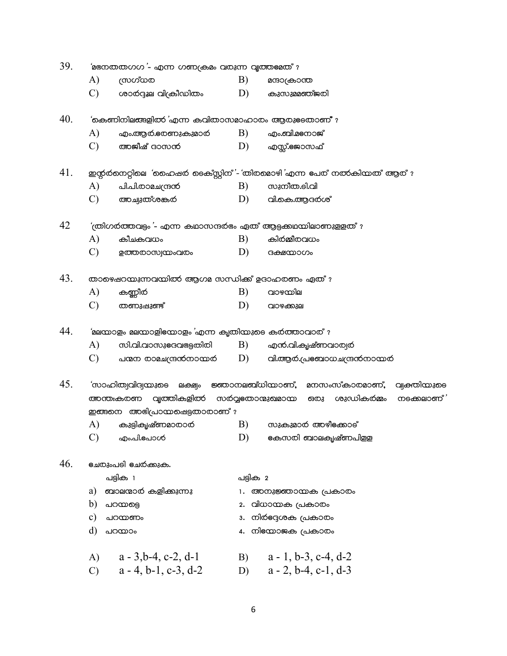| 39.<br>' $a$ അനതതഗഗ $\cdot$ - എന്ന ഗണക്രമം വരുന്ന വൃത്തല്മത് $\cdot$ |               |                                                                        |          |                                                                     |  |  |  |
|----------------------------------------------------------------------|---------------|------------------------------------------------------------------------|----------|---------------------------------------------------------------------|--|--|--|
|                                                                      | A)            | യാഗ്രസ                                                                 | B)       | മനാക്രാന്ത                                                          |  |  |  |
|                                                                      | $\mathcal{C}$ | ശാർദ്ദൂല വിക്രീഡിതം                                                    | D)       | കുസുമ്മഞ്ജരി                                                        |  |  |  |
| 40.                                                                  |               | 'കെണിനിലങ്ങളിൽ 'എന്ന കവിതാസമാഹാരം ആരുടേതാണ് ?                          |          |                                                                     |  |  |  |
|                                                                      | A)            | എം.ആർ.ഭരണുകുമാർ                                                        | B)       | എം.ബി.മടനാജ്                                                        |  |  |  |
|                                                                      | $\mathcal{C}$ | അജീഷ് ദാസൻ                                                             | D)       | എസ്സ്.ജോസഫ്                                                         |  |  |  |
| 41.                                                                  |               |                                                                        |          | ഇന്റർനെറ്റിലെ 'ഹൈഷർ ടെക്സ്റ്റിന്'- 'തിരമൊഴി'എന്ന പേര് നൽകിയത് ആര് ? |  |  |  |
|                                                                      | A)            | പി.പി.രാമചന്ദ്രൻ                                                       | B)       | സുനീത.ലി.വി                                                         |  |  |  |
|                                                                      | $\mathcal{C}$ | അച്വുത്ശങ്കര                                                           | D)       | വി.കെ.ആദർശ്                                                         |  |  |  |
| 42                                                                   |               | $\sim$ (തിഗർത്തവട്ടം '- എന്ന കഥാസന്ദർഭം ഏത് ആട്ടക്കഥയിലാണുള്ളത് $\sim$ |          |                                                                     |  |  |  |
|                                                                      | A)            | കീചകവധം                                                                | B)       | കിർമ്മീരവധം                                                         |  |  |  |
|                                                                      | $\mathcal{C}$ | ഉത്തരാസ്വയംവരം                                                         | D)       | ദക്ഷന്മാഗം                                                          |  |  |  |
| 43.                                                                  |               | താഴെഷറന്മുന്നവന്മിൽ ആഗമ സന്ധിക്ക് ഉദാഹരണം ഏത്?                         |          |                                                                     |  |  |  |
|                                                                      | A)            | കണ്ണീര്                                                                | B)       | വാഴയില                                                              |  |  |  |
|                                                                      | $\mathcal{C}$ | തണുഷുണ്ട്                                                              | D)       | വാഴക്കുല                                                            |  |  |  |
| 44.                                                                  |               | 'മലയാളം മലയാളി $\epsilon$ യാളം 'എന്ന കൃതിയുടെ കർത്താവാര് ?             |          |                                                                     |  |  |  |
|                                                                      | A)            | സി.വി.വാസുഭദവഭേട്ടതിതി                                                 | B)       | എന്.വി.കൃഷ്ണവാര്വര്                                                 |  |  |  |
|                                                                      | $\mathcal{C}$ | പന്മന രാമചന്ദ്രൻനായർ                                                   | D)       | വി.ആർ.പ്രഞ്ചാധചന്ദ്രൻനാന്മർ                                         |  |  |  |
| 45.                                                                  |               | 'സാഹിത്വവിദ്യയുടെ ലക്ഷ്യം ജ്ഞാനലബ്ധിയാണ്,                              |          | മനസംസ്കാരമാണ്,<br>വ്വക്തിയുടെ                                       |  |  |  |
|                                                                      |               | വൃത്തികളിൽ സർവ്വഭതാന്മുഖമായ<br>അന്തുകരണ                                |          | ഒരു ശുഡികര്മ്മം<br>നുക്കലാണ്                                        |  |  |  |
|                                                                      |               | ഇങ്ങനെ അഭിപ്രായപ്പെട്ടതാരാണ് ?                                         |          |                                                                     |  |  |  |
|                                                                      | A)            | കുട്ടികൃഷ്ണമാതാര                                                       | B)       | സുകുമാർ അഴീക്കോട്                                                   |  |  |  |
|                                                                      | $\mathcal{C}$ | എം.പി. <del>പ</del> ോൾ                                                 | D)       | eകസരി <b>ബാലകൃഷ്ണപി</b> ളള                                          |  |  |  |
| 46.                                                                  |               | <u>ഭചരുംപ</u> ടി ഭചര്ക്കുക.                                            |          |                                                                     |  |  |  |
|                                                                      |               | പട്ടിക 1                                                               | പട്ടിക 2 |                                                                     |  |  |  |
|                                                                      | a)            | ബാലന്മാർ കളിക്കുന്നു                                                   | 1.       | അനുജ്ഞായക പ്രകാരം                                                   |  |  |  |
|                                                                      | b)            | പറയട്ടെ                                                                | 2.       | വിധായക പ്രകാരം                                                      |  |  |  |
|                                                                      | c)            | പറയണം                                                                  | 3.       | നിർദ്ദേശക പ്രകാരം                                                   |  |  |  |
|                                                                      | d)            | പറയാം                                                                  |          | 4. നില്യോജക പ്രകാരം                                                 |  |  |  |
|                                                                      | A)            | $a - 3,b-4, c-2, d-1$                                                  | B)       | $a - 1$ , b-3, c-4, d-2                                             |  |  |  |
|                                                                      | $\mathcal{C}$ | $a - 4$ , $b - 1$ , $c - 3$ , $d - 2$                                  | D)       | $a - 2$ , b-4, c-1, d-3                                             |  |  |  |

 $6\overline{6}$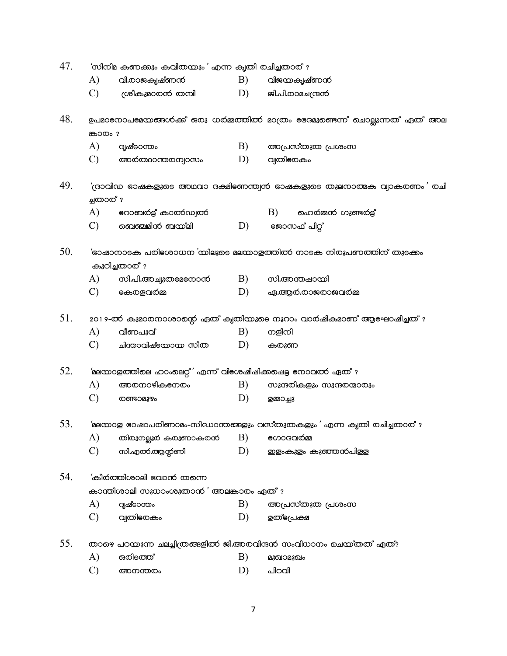| 47. | 'സിനിമ കണക്കും കവിതന്മും' എന്ന കൃതി രചിച്ചതാര് ? |                                                                   |    |                                                                             |  |  |  |  |
|-----|--------------------------------------------------|-------------------------------------------------------------------|----|-----------------------------------------------------------------------------|--|--|--|--|
|     | A)                                               | വി.രാജകൃഷ്ണൻ                                                      | B) | വിജന്മകൃഷ്ണൻ                                                                |  |  |  |  |
|     | $\mathcal{C}$                                    | ശ്രീകുമാതൻ തമ്പി                                                  | D) | ജി.പി.രാമചന്ദ്രൻ                                                            |  |  |  |  |
| 48. |                                                  |                                                                   |    | ഉപമാനോപലമ്പനങ്ങൾക്ക് ഒരു ധർമ്മത്തിൽ മാത്രം ഭേദമുണ്ടെന്ന് ചൊല്ലുന്നത് ഏത് അല |  |  |  |  |
|     | <b>കാ</b> രം?                                    |                                                                   |    |                                                                             |  |  |  |  |
|     | A)                                               | ദൃഷ്ടാന്തം                                                        | B) | അപ്രസ്തുത പ്രശംസ                                                            |  |  |  |  |
|     | $\mathcal{C}$                                    | അർത്ഥാന്തരന്വാസം                                                  | D) | വ്വതിഭരകം                                                                   |  |  |  |  |
| 49. | ച്ചതാത് ?                                        |                                                                   |    | $($ ദാവിഡ ഭാഷകളുടെ അഥവാ ദക്ഷിeണന്ത്വൻ ഭാഷകളുടെ തുലനാത്മക വ്യാകരണം' രചി      |  |  |  |  |
|     | A)                                               | റോബർട്ട് കാത്കഡ്വത്                                               |    | B)<br>ഹെർമ്മൻ ഗുണ്ടർട്ട്                                                    |  |  |  |  |
|     | $\mathbf{C}$ )                                   | ബെഞ്ചമിന് ബയ്ലി                                                   | D) | ജോസഫ് പിറ്റ്                                                                |  |  |  |  |
| 50. |                                                  | കുറിച്ചതാര് ?                                                     |    | 'ഭാഷാനാടക പരിഭശാധന 'യിലൂടെ മലയാളത്തിൽ നാടക നിരൂപണത്തിന് തുടക്കം             |  |  |  |  |
|     | A)                                               | സി.പി.അച്വുതല്ലനോന്                                               | B) | സി.അന്തഷായി                                                                 |  |  |  |  |
|     | $\mathcal{C}$                                    | <b>e</b> കരളവർമ്മ                                                 | D) | ഏ.ആർ.രാജരാജവർമ്മ                                                            |  |  |  |  |
| 51. |                                                  |                                                                   |    | 2019-ൽ കുമാരനാശാന്റെ ഏത് കൃതിയുടെ നൂറാം വാർഷികമാണ് ആഘോഷിച്ചത് ?             |  |  |  |  |
|     | A)                                               | വീണപൂവ്                                                           | B) | നളിനി                                                                       |  |  |  |  |
|     | $\mathcal{C}$                                    | ചിന്താവിഷ്ടന്മാന സീത                                              | D) | കരുണ                                                                        |  |  |  |  |
| 52. |                                                  | 'മലന്മാളത്തിലെ ഹാംലെറ്റ്' എന്ന് വിഭശഷിപ്പിക്കപ്പെട്ട നോവത്ത എത് ? |    |                                                                             |  |  |  |  |
|     | A)                                               | അരനാഴികനേരം                                                       | B) | സുന്ദരികളും സുന്ദരന്മാരും                                                   |  |  |  |  |
|     | $\mathcal{C}$                                    | <b>©ണ്ടാമൂഴം</b>                                                  | D) | ഉമ്മാച്ചു                                                                   |  |  |  |  |
| 53. |                                                  |                                                                   |    | 'മലയാള ഭാഷാപരിണാമം-സിഡാന്തങ്ങളും വസ്തുതകളും ' എന്ന കൃതി രചിച്ചതാര് $\imath$ |  |  |  |  |
|     | A)                                               | തിരുനല്ലൂർ കരുണാകരൻ                                               | B) | ഗോദവര്മ്മ                                                                   |  |  |  |  |
|     | $\mathcal{C}$                                    | സി.എൽ.ആന്റണി                                                      | D) | ഇളംകുളം കുഞ്ഞൻപിളള                                                          |  |  |  |  |
| 54. |                                                  | 'കീർത്തിശാലി വോന് തന്നെ                                           |    |                                                                             |  |  |  |  |
|     |                                                  | കാന്തിശാലി സുധാംശുതാന് ' അലങ്കാരം ഏത് ?                           |    |                                                                             |  |  |  |  |
|     | A)                                               | ദൃഷ്ടാന്തം                                                        | B) | അപ്രസ്തുത പ്രശംസ                                                            |  |  |  |  |
|     | $\mathcal{C}$                                    | വ്വതിഭരകം                                                         | D) | ഉത്ഭ്രേക്ഷ                                                                  |  |  |  |  |
| 55. |                                                  |                                                                   |    | താഴെ പറയുന്ന ചലച്ചിത്രങ്ങളിൽ ജി.അരവിന്ദൻ സംവിധാനം ചെയ്തത് ഏത്?              |  |  |  |  |
|     | A)                                               | ഒരിടത്ത്                                                          | B) | മുഖാമുഖം                                                                    |  |  |  |  |
|     | $\mathcal{C}$                                    | അനന്തരം                                                           | D) | പിറവി                                                                       |  |  |  |  |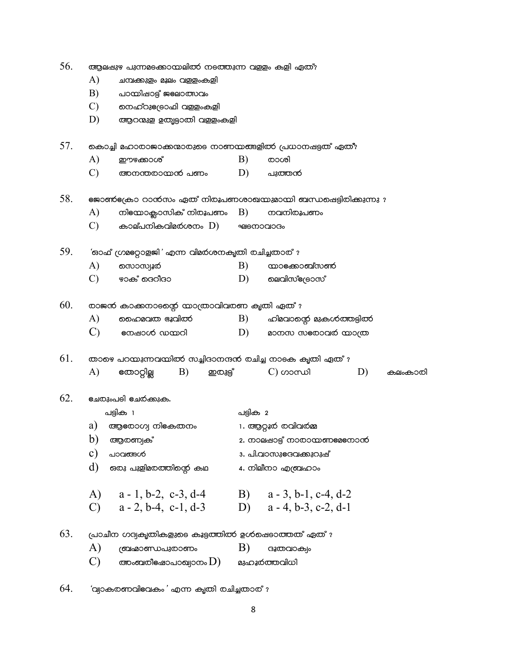| 56. |               | ആലപ്പുഴ പുന്നമടക്കായലിൽ നടത്തുന്ന വളളം കളി ഏത്?     |    |                 |          |                                                                 |    |  |
|-----|---------------|-----------------------------------------------------|----|-----------------|----------|-----------------------------------------------------------------|----|--|
|     | A)            | ചമ്പക്കുളം മൂലം വളളംകളി                             |    |                 |          |                                                                 |    |  |
|     | B)            | പാന്മിഷാട്ട് ജലോത്സവം                               |    |                 |          |                                                                 |    |  |
|     | $\mathcal{C}$ | നെഹ്റുe്രോഫി വള്ളംകളി                               |    |                 |          |                                                                 |    |  |
|     | D)            | ആറന്മുള ഉതൃട്ടാതി വള്ളംകളി                          |    |                 |          |                                                                 |    |  |
| 57. |               |                                                     |    |                 |          | കൊച്ചി മഹാരാജാക്കന്മാരുടെ നാണയങ്ങളിൽ പ്രധാനഷട്ടത് ഏത്?          |    |  |
|     | A)            | ഈഴക്കാശ്                                            |    |                 | B)       | രാശി                                                            |    |  |
|     | $\mathcal{C}$ | അനന്തരായൻ പണം                                       |    |                 | D)       | പുത്തൻ                                                          |    |  |
| 58. |               |                                                     |    |                 |          | eജാൺeക്രാ റാന്ന്സം ഏത് നിരൂപണശാഖയുമായി ബന്ധപ്പെട്ടിരിക്കുന്നു ? |    |  |
|     | A)            | നില്നോക്ലാസിക് നിരൂപണം                              |    |                 | B)       | നവനിരൂപണം                                                       |    |  |
|     | $\mathcal{C}$ | കാല്പനികവിമ $\sigma$ ശനം $\left( \mathrm{D}\right)$ |    |                 |          | <b>PECDOCIOGO</b>                                               |    |  |
| 59. |               | 'ഓഫ് ഗ്രമുറ്റോളജി' എന്ന വിമർശനകൃതി രചിച്ചതാര്?      |    |                 |          |                                                                 |    |  |
|     | A)            | ෩ാസ്വൂർ                                             |    |                 | B)       | <b>നാ</b> ംക്കാബ്സൺ                                             |    |  |
|     | $\mathcal{C}$ | ഴാക് ദെറീദാ                                         |    |                 | D)       | മെവിസ്ക്രോസ്                                                    |    |  |
| 60. |               | രാജൻ കാക്കനാടന്റെ നാത്രാവിവരണ കൃതി ഏത് ?            |    |                 |          |                                                                 |    |  |
|     | A)            | ഹൈമവത ഭൂവിത്                                        |    |                 | B)       | ഹിമവാന്റെ മുകൾത്തട്ടിൽ                                          |    |  |
|     | $\mathbf{C}$  | നേഷാൾ ഡയറി                                          |    |                 | D)       | മാനസ സഭതാവര് നാത്ര                                              |    |  |
| 61. |               |                                                     |    |                 |          | താഴെ പറയുന്നവയിൽ സച്ചിദാനന്ദൻ രചിച്ച നാടക കൃതി ഏത് ?            |    |  |
|     | A)            | യോറ്റില്ല                                           | B) | <b>ഇ</b> രുട്ട് |          | $\mathcal{C}$ ) ဟဝကယါ                                           | D) |  |
|     |               |                                                     |    |                 |          |                                                                 |    |  |
| 62. |               | <u> ലേരുംപ</u> ടി ഭചർക്കുക.                         |    |                 |          |                                                                 |    |  |
|     |               | പട്ടിക 1                                            |    |                 | പട്ടിക 2 |                                                                 |    |  |

|               | ື່                                    | ື່                                      |  |  |
|---------------|---------------------------------------|-----------------------------------------|--|--|
| a)            | ആരോഗ്വ നികേതനം                        | 1. ആറ്റൂർ രവിവർമ്മ                      |  |  |
| b)            | ആരണ്യക്                               | 2. നാലപ്പാട്ട് നാരാന്മണലേനോന്           |  |  |
| $\mathbf{C}$  | പാവങ്ങൾ                               | 3. പി.വാസുഭദവക്കുറുഷ്                   |  |  |
| d)            | ഒരു പുളിമരത്തിന്റെ കഥ                 | 4. നിലീനാ എബ്രഹാം                       |  |  |
| A)            | $a - 1$ , b-2, c-3, d-4               | $a - 3$ , b-1, c-4, d-2<br>B)           |  |  |
|               |                                       |                                         |  |  |
| $\mathcal{C}$ | $a - 2$ , $b - 4$ , $c - 1$ , $d - 3$ | $a - 4$ , b-3, c-2, d-1<br>$\mathbf{D}$ |  |  |

കലംകാരി

63. (പാചീന ഗദ്വകൃതികളുടെ കൂട്ടത്തിൽ ഉൾഷെടാത്തത് ഏത് ?

| A)           | ത്രിഹ്മാണ്ഡപുതാണം                             | $\bf{B}$ | ദുതവാക്യം    |
|--------------|-----------------------------------------------|----------|--------------|
| $\mathbf{C}$ | അംബരീ $\epsilon$ ഷാപാഖ്വാനം $\left( D\right)$ |          | മുഹൂർത്തവിധി |

64. 'വ്വാകരണവിഭവകം' എന്ന കൃതി രചിച്ചതാര് ?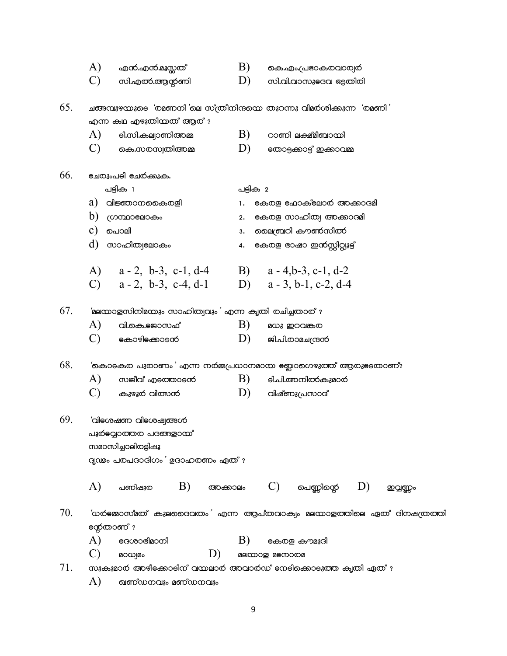|     | A)<br>എൻ.എൻ.മൂസ്സത്                                                                                         | B)<br>കെ.എം.പ്രഭാകരവാര്വര                                                                                                    |
|-----|-------------------------------------------------------------------------------------------------------------|------------------------------------------------------------------------------------------------------------------------------|
|     | $\mathcal{C}$<br>സി.എൽ.ആന്റണി                                                                               | D)<br>സി.വി.വാസുeദവ ഭട്ടതിരി                                                                                                 |
| 65. | എന്ന കഥ എഴുതിയത് ആര് ?<br>A)<br>ടി.സി.കല്വാണിഅമ്മ<br>$\mathcal{C}$<br>കെ.സരസ്വതിഅമ്മ                        | ചങ്ങമ്പുഴയുടെ 'രമണനി'ലെ സ്ത്രീനിനുയെ തുറന്നു വിമര്ശിക്കുന്ന 'രമണി'<br>B)<br>റാണി ലക്ഷ്മീബായി<br>D)<br>നോടുക്കാട്ട് ഇക്കാവമ്മ |
| 66. | <u>ഭചരുംപ</u> ടി ഭചര്ക്കുക.                                                                                 |                                                                                                                              |
|     | പട്ടിക 1                                                                                                    | പട്ടിക 2                                                                                                                     |
|     | a)<br>വിജ്ഞാനകൈരളി                                                                                          | കേരള ഫോക്ലോർ അക്കാദമി<br>1.                                                                                                  |
|     | b)<br>ഗ്രന്ഥാലോകം                                                                                           | കേരള സാഹിത്വ അക്കാദമി<br>2.                                                                                                  |
|     | c)<br>പൊലി                                                                                                  | മൈബ്രറി കൗൺസിൽ<br>3.                                                                                                         |
|     | d)<br>സാഹിത്വലോകം                                                                                           | കേരള ഭാഷാ ഇന്നസ്റ്റിറ്റ്വൂട്ട്<br>4.                                                                                         |
|     | A)<br>$a - 2$ , b-3, c-1, d-4                                                                               | B) $a - 4, b - 3, c - 1, d - 2$                                                                                              |
|     | C) $a - 2$ , b-3, c-4, d-1                                                                                  | D) $a - 3$ , b-1, c-2, d-4                                                                                                   |
|     |                                                                                                             |                                                                                                                              |
| 67. | 'മലന്മാളസിനിമ്പോം സാഹിത്വവും' എന്ന കൃതി രചിച്ചതാര് ?                                                        |                                                                                                                              |
|     | A)<br>വി.കെ.ജോസഫ്                                                                                           | B)<br>മധു ഇറവങ്കര                                                                                                            |
|     | $\mathcal{C}$<br><b>കോഴി</b> ക്കോടന്                                                                        | D)<br>ജി.പി.രാമചന്ദ്രൻ                                                                                                       |
| 68. |                                                                                                             | 'കൊടകര പുരാണം' എന്ന നർമ്മപ്രധാനമായ eബ്ലാഗെഴുത്ത് ആരുടേതാണ്?                                                                  |
|     | A)<br>സജീവ് എടത്താടന്                                                                                       | B)<br><b>el.പി.അനിൽകുമാ</b> ർ                                                                                                |
|     | $\mathbf{C}$<br>കുഴൂർ വിത്സൻ                                                                                | D)<br>വിഷ്ണുപ്രസാദ്                                                                                                          |
|     |                                                                                                             |                                                                                                                              |
| 69. | 'aleco cam aleco carascó<br>പൂർല്പോത്തര പദങ്ങളാന്മ്<br>സമാസിച്ചാലിതട്ടിഷൂ<br>ദൃഢം പരപദാദിഗം ' ഉദാഹരണം ഏത് ? |                                                                                                                              |
|     | A)<br>B)<br>പണിഷുത<br>അക്കാലം                                                                               | $\mathrm{C})$ ചെണ്ണിന്റെ<br>D)<br>ഇവ്വണ്ണം                                                                                   |
| 70. | ന്റേതാണ് ?                                                                                                  | 'ധർജ്മോസ്മത് കുലുദൈവതം' എന്ന ആപ്തവാക്വം മലയാളത്തിലെ ഏത് ദിനഷത്രത്തി                                                          |
|     | A)<br>eaശാഭിമാനി                                                                                            | B)<br>കേരള കൗമുദി                                                                                                            |
|     | $\mathcal{C}$<br>D)<br>മാധ്യമം                                                                              | aaccoog aecooca                                                                                                              |
| 71. |                                                                                                             | സുകുമാർ അഴീക്കോടിന് വന്മലാർ അവാർഡ് നേടിക്കൊടുത്ത കൃതി ഏത്?                                                                   |
|     | A)<br>ഖണ്ഡനവും മണ്ഡനവും                                                                                     |                                                                                                                              |

 $\overline{9}$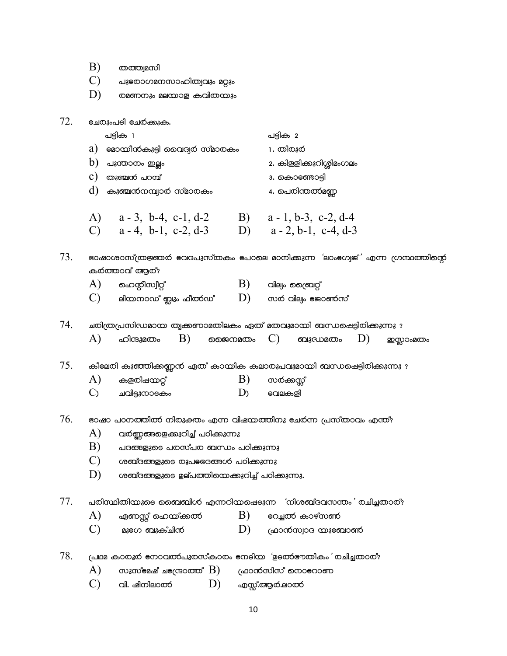|     | B)<br>തത്ത്വമസി                                                                                                            |
|-----|----------------------------------------------------------------------------------------------------------------------------|
|     | $\mathcal{C}$<br>പുഭരാഗമനസാഹിത്വവും മറ്റും                                                                                 |
|     | D)<br>രമണനും മലയാള കവിതയും                                                                                                 |
|     |                                                                                                                            |
| 72. | <u>ഭചരുംപ</u> ടി ഭചര്ക്കുക.                                                                                                |
|     | പട്ടിക 1<br>പട്ടിക 2                                                                                                       |
|     | $a)$ eമാന്മീന്കുട്ടി വൈദ്വര് സ്മാരകം<br>1. തിരൂർ                                                                           |
|     | $\mathrm{b})$ പൂന്താനം ഇല്ലം<br>2. കിള്ളിക്കുറിശ്ശിമംഗലം                                                                   |
|     | $\circ$ )<br>തുഞ്ചൻ പറമ്പ്<br>3. കൊണ്ടോട്ടി                                                                                |
|     | $\left  d \right $ കുഞ്ചന്നമ്പ്യാർ സ്മാരകം<br>4. പെരിന്തൽമണ്ണ                                                              |
|     |                                                                                                                            |
|     | A) a - 3, b - 4, c - 1, d - 2 B) a - 1, b - 3, c - 2, d - 4<br>C) a - 4, b - 1, c - 2, d - 3 D) a - 2, b - 1, c - 4, d - 3 |
|     |                                                                                                                            |
| 73. | ഭാഷാശാസ്ത്രജ്ഞര് ഭവദപുസ്തകം പോലെ മാനിക്കുന്ന 'ലാംഭഗ്വജ്' എന്ന ഗ്രന്ഥത്തിന്റെ<br>കർത്താവ് ആര്?                              |
|     | $\mathrm{B)}$ വില്യം ത്രൈവറ്റ്<br>$(A)$ മെന്റിസ്വീറ്റ്                                                                     |
|     | $\mathrm{C})$ ലിയനാഡ് ബ്ലും ഫീത്6ഡ് $\mathrm{D)}$ സർ വില്വം ജോൺസ്                                                          |
|     |                                                                                                                            |
| 74. | ചരിത്രപ്രസിഡമായ തൃക്കണാമതിലകം ഏത് മതവുമായി ബന്ധപ്പെട്ടിരിക്കുന്നു ?                                                        |
|     | A)<br>B)<br>ജൈനമതം $C)$ ബുഡമതം<br>ഹിന്ദുമതം<br>D)<br>ഇസ്ലാംമതം                                                             |
| 75. | കീലേരി കുഞ്ഞിക്കണ്ണൻ ഏത് കായിക കലാരൂപവുമായി ബന്ധപ്പെട്ടിരിക്കുന്നു ?                                                       |
|     | A)<br>B)<br>കളരിഷയറ്റ്<br>സർക്കസ്സ്                                                                                        |
|     | $\mathcal{C}_{\lambda}$<br>ചവിട്ടുനാടകം<br>D <sub>)</sub><br>ഭവലകളി                                                        |
|     |                                                                                                                            |
| 76. | ഭാഷാ പഠനത്തിൽ നിരുക്തം എന്ന വിഷയത്തിനു ഭചർന്ന പ്രസ്താവം എന്ത്?                                                             |
|     | A)<br>വർണ്ണങ്ങളെക്കുറിച്ച് പഠിക്കുന്നു                                                                                     |
|     | B)<br>പദങ്ങളുടെ പരസ്പര ബന്ധം പഠിക്കുന്നു                                                                                   |
|     | $\mathcal{C}$<br>ശബ്ദങ്ങളുടെ രൂപഭഭദങ്ങൾ പഠിക്കുന്നു                                                                        |
|     | D)<br>ശബ്ദങ്ങളുടെ ഉല്പത്തിയെക്കുറിച്ച് പഠിക്കുന്നു.                                                                        |
| 77. | പരിസ്ഥിതിയുടെ ബൈബിൾ എന്നറിയപ്പെടുന്ന 'നിശബ്ദവസന്തം' രചിച്ചതാര്?                                                            |
|     | A)<br>B)<br>ഏണസ്റ്റ് ഹെയ്ക്കൽ<br>eoച്ചൽ കാഴ്സ <del>്</del> ഞ                                                               |
|     | $\mathcal{C}$<br>D)<br>മൂട്രഗ ബുക്ചിന്<br>ഫ്രാന്ത്വാദ യുഞ്ചാൺ                                                              |
|     |                                                                                                                            |
| 78. | പ്രഥമ കാരൂര് നോവത്രപുരസ്കാരം നേടിന്മ 'ഉടത്നേതികം' രചിച്ചതാര്?                                                              |
|     | A)<br>സുസ്മേഷ് ച $\epsilon$ ന്ദ്രാത്ത് $\rm\,B)$<br>ഫ്രാന്തിസ് നൊഭറാണ                                                      |
|     | $\mathcal{C}$<br>D)<br>വി. ഷിനിലാത്<br>എസ്സ്.ആർ.ലാത്                                                                       |

10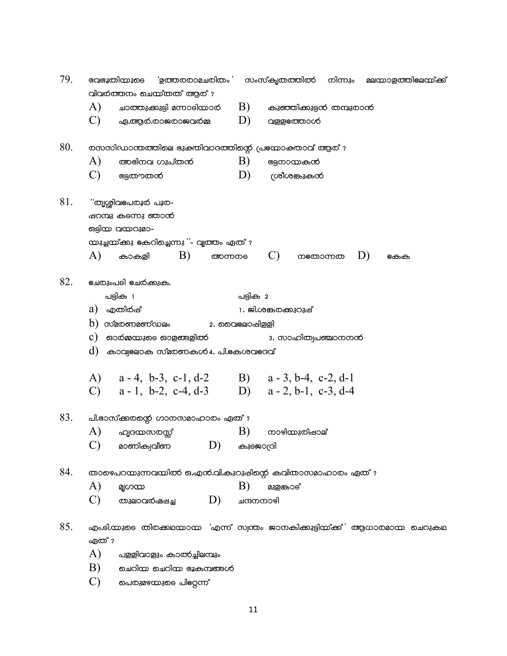| 79. | വിവർത്തനം ചെയ്തത് ആര് ?                                                                                                                                                                                                                                                                                                                                                                          |              | ഭവഭൂതിയുടെ 'ഉത്തരരാമചരിതം' സംസ്കൃതത്തിൽ നിന്നും മലന്മാളത്തിലേന്മ്ക് |  |           |  |  |
|-----|--------------------------------------------------------------------------------------------------------------------------------------------------------------------------------------------------------------------------------------------------------------------------------------------------------------------------------------------------------------------------------------------------|--------------|---------------------------------------------------------------------|--|-----------|--|--|
|     | A)<br>ചാത്തുക്കുട്ടി മന്നാടിയാർ $\;\;\;\;\; {\rm B)}$                                                                                                                                                                                                                                                                                                                                            |              | കുഞ്ഞിക്കുട്ടൻ തമ്പുരാൻ                                             |  |           |  |  |
|     | C)<br>ഏ.ആർ.രാജരാജവർമ്മ                                                                                                                                                                                                                                                                                                                                                                           | D)           | വള്ളത്തോൾ                                                           |  |           |  |  |
| 80. | രസസിഡാന്തത്തിലെ ഭുക്തിവാദത്തിന്റെ പ്രഭയാക്താവ് ആര്?                                                                                                                                                                                                                                                                                                                                              |              |                                                                     |  |           |  |  |
|     | A)<br>അഭിനവ ഗുപ്തൻ                                                                                                                                                                                                                                                                                                                                                                               | B)           | ഭേുനായകൻ                                                            |  |           |  |  |
|     | C)<br>ഭുതൗതൻ                                                                                                                                                                                                                                                                                                                                                                                     | D)           | ശ്രീശങ്കുകൻ                                                         |  |           |  |  |
| 81. | "തൃശ്ശിവഭപരൂർ പൂര-<br>ഷറമ്പു കുടന്നു ഞാൻ<br>ഒട്ടിയ വയറുമാ-<br>യുച്ചയ്ക്കു കേറിച്ചെന്നു $"$ - വൃത്തം ഏത് $'$                                                                                                                                                                                                                                                                                      |              |                                                                     |  |           |  |  |
|     | B)<br>A)<br>കാകളി<br>അന്നനും                                                                                                                                                                                                                                                                                                                                                                     |              | $\mathbf{C}$ )<br><b>ന</b> യോന്നത                                   |  | D)<br>കേക |  |  |
| 82. | <u>ഭചരുംപ</u> ടി ഭചർക്കുക.<br>പട്ടിക 1                                                                                                                                                                                                                                                                                                                                                           |              |                                                                     |  |           |  |  |
|     |                                                                                                                                                                                                                                                                                                                                                                                                  |              | പട്ടിക 2                                                            |  |           |  |  |
|     | a) എതിർഷ്                                                                                                                                                                                                                                                                                                                                                                                        |              | 1. ജി.ശങ്കരക്കുറുഷ്                                                 |  |           |  |  |
|     | $b)$ സ്മരണമണ്ഡലം                                                                                                                                                                                                                                                                                                                                                                                 | 2. മൈലോഷിളളി |                                                                     |  |           |  |  |
|     | $\mathbf c$ ) ദാർമ്മയുടെ ഓളങ്ങളിൽ                                                                                                                                                                                                                                                                                                                                                                |              | 3. സാഹിത്വപഞ്ചാനനന്                                                 |  |           |  |  |
|     | $\left(\mathrm{d}\right)$ കാവ്വലോക സ്മരണകൾ 4. പി.ഭകശവഭദവ്                                                                                                                                                                                                                                                                                                                                        |              |                                                                     |  |           |  |  |
|     | A) a - 4, b - 3, c - 1, d - 2 B) a - 3, b - 4, c - 2, d - 1                                                                                                                                                                                                                                                                                                                                      |              |                                                                     |  |           |  |  |
|     | C) $a-1$ , b-2, c-4, d-3 D) $a-2$ , b-1, c-3, d-4                                                                                                                                                                                                                                                                                                                                                |              |                                                                     |  |           |  |  |
| 83. | പി.ഭാസ്ക്കരന്റെ ഗാനസമാഹാരം ഏത് ?                                                                                                                                                                                                                                                                                                                                                                 |              |                                                                     |  |           |  |  |
|     | A)<br>ഹൃദയസരസ്സ്                                                                                                                                                                                                                                                                                                                                                                                 | B)           | നാഴിയുതിഷാല്                                                        |  |           |  |  |
|     | മാണിക്വവീണ $\hskip 40pt \hskip 40pt \hskip 40pt \hskip 40pt \hskip 40pt \hskip 40pt \hskip 40pt \hskip 40pt \hskip 40pt \hskip 40pt \hskip 40pt \hskip 40pt \hskip 40pt \hskip 40pt \hskip 40pt \hskip 40pt \hskip 40pt \hskip 40pt \hskip 40pt \hskip 40pt \hskip 40pt \hskip 40pt \hskip 40pt \hskip 40pt \hskip 40pt \hskip 40pt \hskip 40pt \hskip 40pt \hskip 40pt \hskip 40$<br>കുഞ്ജാര്രി |              |                                                                     |  |           |  |  |
| 84. | താഴെപറയുന്നവയിൽ ഒ.എൻ.വി.കുറുഷിന്റെ കവിതാസമാഹാരം ഏത് ?                                                                                                                                                                                                                                                                                                                                            |              |                                                                     |  |           |  |  |
|     | A)<br>മ്യഗയ                                                                                                                                                                                                                                                                                                                                                                                      | B)           | മുളങ്കാട്                                                           |  |           |  |  |
|     | C)<br>D)<br>തുലാവർഷപ്പച്ച                                                                                                                                                                                                                                                                                                                                                                        | ചന്ദനനാഴി    |                                                                     |  |           |  |  |
| 85. | എം.ടി.യുടെ തിരക്കഥയായ 'എന്ന് സ്വന്തം ജാനകിക്കുട്ടിയ്ക്ക്' ആധാരമായ ചെറുകഥ<br>ഏത് ?                                                                                                                                                                                                                                                                                                                |              |                                                                     |  |           |  |  |
|     | A)<br>പളളിവാളും കാത്ക്ചിലമ്പും                                                                                                                                                                                                                                                                                                                                                                   |              |                                                                     |  |           |  |  |
|     | B)<br>ചെറിയ ചെറിയ ഭൂകമ്പങ്ങൾ                                                                                                                                                                                                                                                                                                                                                                     |              |                                                                     |  |           |  |  |
|     |                                                                                                                                                                                                                                                                                                                                                                                                  |              |                                                                     |  |           |  |  |

 $\mathrm{C})$  ചെരുമഴയുടെ പില്റേന്ന്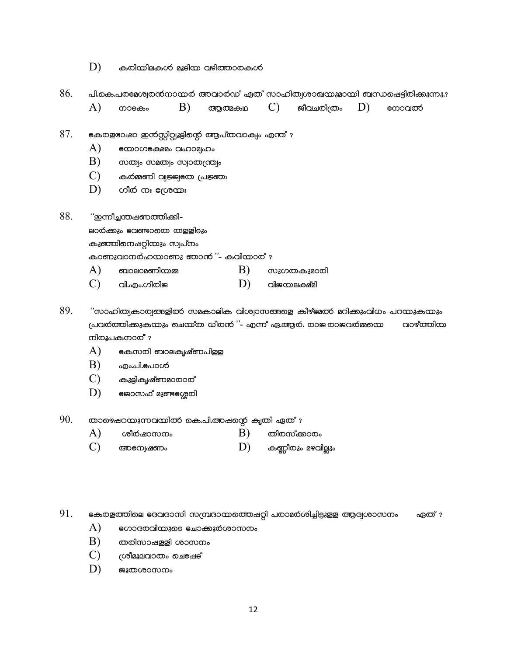- $D)$ കരിയിലുകൾ മൂടിയ വഴിത്താരകൾ
- 86. പി.കെ.പരമേശ്വരന്നാന്മർ അവാർഡ് ഏത് സാഹിത്യശാഖയുമായി ബന്ധപ്പെട്ടിരിക്കുന്നു.?
	- A) B)  $\mathbf{C}$ D) നാടകം ആത്മകഥ ജീവചരിത്രം emoaloo
- 87. കേരളഭാഷാ ഇന്ന്സിറ്റ്വൂട്ടിന്റെ ആപ്തവാക്വം എന്ത് ?
	- A) emone cano alanoglano
	- B) modio unacolo unlocolculo
	- $\mathbf{C}$ കർമ്മണി വ്വജ്ജ്വഭത പ്രജ്ഞം
	- D) ഗീർ നഃ ഭശ്രയഃ

88. "ഇന്നീച്ചന്തഷണത്തിക്കി-

A)

ലാർക്കും ഭവണ്ടാതെ തള്ളിടും

കുഞ്ഞിനെഷറ്റിയും സ്വപ്നം

കാണുവാനർഹയാണു ഞാന് "- കവിയാര് ?

- $B)$ ബാലാമണിയമ്മ സുഗതകുമാതി
- $\mathbf{C}$ D) വി.എം.ഗിരിജ വിജയലക്ഷ്മി
- 89. "സാഹിത്വകാര്വങ്ങളിൽ സമകാലിക വിശ്വാസങ്ങളെ കീഴ്ഭമൽ മറിക്കുംവിധം പറയുകയും പ്രവർത്തിക്കുകയും ചെയ്ത ധീരൻ ''- എന്ന് ഏ.ആർ. രാജരാജവർമ്മയെ വാഴ്ത്തിന നിരൂപകനാര് ?
	- A) കേസരി ബാലകൃഷ്ണപിളള
	- $B)$ എം.പി.**e**പാൾ
	- $\mathcal{C}$ കുട്ടികൃഷ്ണമാതാത്
	- D) ജോസഫ് മുണ്ടഗ്മേരി
- 90. താഴെപ്പറന്മുന്നവന്മിൽ കെ.പി.അപ്പന്റെ കൃതി ഏത് ?
	- $B)$ A) ശീർഷാസനം തിരസ്ക്കാരം
	- $\mathcal{C}$ D) കണ്ണീരും മഴവില്ലും **അ**ന്വേഷണം

91. കേരളത്തിലെ ഭദവദാസി സമ്പ്രദായത്തെഷറ്റി പരാമര്ശിച്ചിട്ടുളള ആദ്യശാസനം ഏത് ?

- A) ഗോദരവിയുടെ ചോക്കൂർശാസനം
- B) തതിസാഷളളി ശാസനം
- $\mathcal{C}$ ശ്രീമൂലവാതം ചെട്ഷേട്
- D) ജൂതശാസനം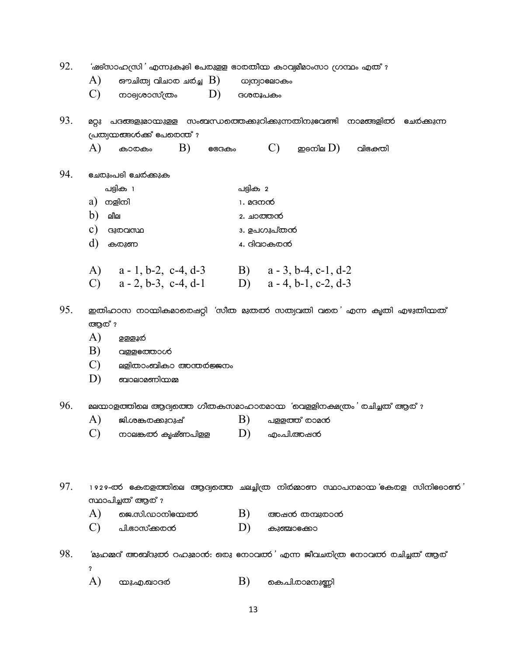| 92. | 'ഷട്സാഹസ്രി' എന്നുകൂടി പേരുളള ഭാരതീയ കാവ്വമീമാംസാ ഗ്രന്ഥം എത് ?                               |                  |                                                                             |  |  |  |  |
|-----|-----------------------------------------------------------------------------------------------|------------------|-----------------------------------------------------------------------------|--|--|--|--|
|     | A)<br>ഔചിത്വ വിചാര ചർച്ച $\mid \mathrm{B})\mid$                                               |                  | wjmjoeaoco.                                                                 |  |  |  |  |
|     | $\mathcal{C}$<br>D)<br>നാല്യശാസ്ത്രം                                                          |                  | ദശരൂപകം                                                                     |  |  |  |  |
| 93. | മറ്റു                                                                                         |                  | പദങ്ങളുമായുള്ള സംബന്ധത്തെക്കുറിക്കുന്നതിനുഭവണ്ടി നാമങ്ങളിൽ<br>ഭചരക്കുന്ന    |  |  |  |  |
|     | പ്രത്വയങ്ങൾക്ക് പേരെന്ത്?                                                                     |                  |                                                                             |  |  |  |  |
|     | A)<br>B)<br>കാരകം<br><b>e</b> ദേകം                                                            |                  | $(C)$ <i>gecola</i> $(D)$<br>വിക്തിേ                                        |  |  |  |  |
| 94. | <b>ല്വേ</b> രുംപടി <b>ല</b> േര്ക്കുക                                                          |                  |                                                                             |  |  |  |  |
|     | പട്ടിക 1                                                                                      | പട്ടിക 2         |                                                                             |  |  |  |  |
|     | a) നളിനി                                                                                      | 1 <b>. മദനന്</b> |                                                                             |  |  |  |  |
|     | b)<br>ലീല                                                                                     |                  | 2. ച <b>ന്ത</b> ന്                                                          |  |  |  |  |
|     | $\mathbf{c})$<br>ദുതവസ്ഥ                                                                      |                  | 3. ഉപഗുപ്തൻ                                                                 |  |  |  |  |
|     | d)<br>കരുണ                                                                                    |                  | 4. ദിവാകരൻ                                                                  |  |  |  |  |
|     | A) $a-1, b-2, c-4, d-3$ B) $a-3, b-4, c-1, d-2$                                               |                  |                                                                             |  |  |  |  |
|     | C) $a - 2$ , b-3, c-4, d-1 D) $a - 4$ , b-1, c-2, d-3                                         |                  |                                                                             |  |  |  |  |
| 95. | ഇതിഹാസ നായികമാരെഷറ്റി 'സീത മുതൽ സത്വവതി വരെ' എന്ന കൃതി എഴുതിയത്                               |                  |                                                                             |  |  |  |  |
|     | അന് ?<br>A)<br><u>ඉෂ</u> ුෂූර                                                                 |                  |                                                                             |  |  |  |  |
|     | B)<br>വള്ളഭത്താൾ                                                                              |                  |                                                                             |  |  |  |  |
|     | $\mathcal{C}$<br>ലളിതാംബികാ അന്തര്ജ്ജനം                                                       |                  |                                                                             |  |  |  |  |
|     | D)<br>ബാലാമണിയമ്മ                                                                             |                  |                                                                             |  |  |  |  |
|     |                                                                                               |                  |                                                                             |  |  |  |  |
| 96. |                                                                                               |                  | മലന്മാളത്തിലെ ആദ്വത്തെ ഗീതകസമാഹാരമായ 'വെള്ളിനക്ഷത്രം' രചിച്ചത് ആര് ?        |  |  |  |  |
|     | A)<br>ജി.ശങ്കരക്കുറുഷ്                                                                        | B)               | പള്ളത്ത് രാമൻ                                                               |  |  |  |  |
|     | നാലങ്കൽ കൃഷ്ണപിളള                                                                             | D)               | എം.പി.അഷൻ                                                                   |  |  |  |  |
|     |                                                                                               |                  |                                                                             |  |  |  |  |
| 97. | 1929-ൽ കേരളത്തിലെ ആദ്യത്തെ ചലച്ചിത്ര നിർമ്മാണ സ്ഥാപനമായ eകരള സിനിട്ടോണ് '<br>സ്ഥാപിച്ചത് ആര്? |                  |                                                                             |  |  |  |  |
|     | A)<br>ജെ.സി.ഡാനില്മേൽ                                                                         | B)               | അഷൻ തമ്പുരാൻ                                                                |  |  |  |  |
|     | $\mathcal{C}$<br>പി.ഭാസ്ക്കരൻ                                                                 | D)               | കുഞ്ചാക്കോ                                                                  |  |  |  |  |
| 98. | ?                                                                                             |                  | 'മുഹമ്മദ് അബ്ദുത്ക റഹുമാനി: ഒരു നോവത്ക് എന്ന ജീവചരിത്ര നോവത്ക് രചിച്ചത് ആര് |  |  |  |  |
|     | A)<br>യു.എ.ഖാദര                                                                               | B)               | കെ.പി.രാമനുണ്ണി                                                             |  |  |  |  |
|     |                                                                                               | 13               |                                                                             |  |  |  |  |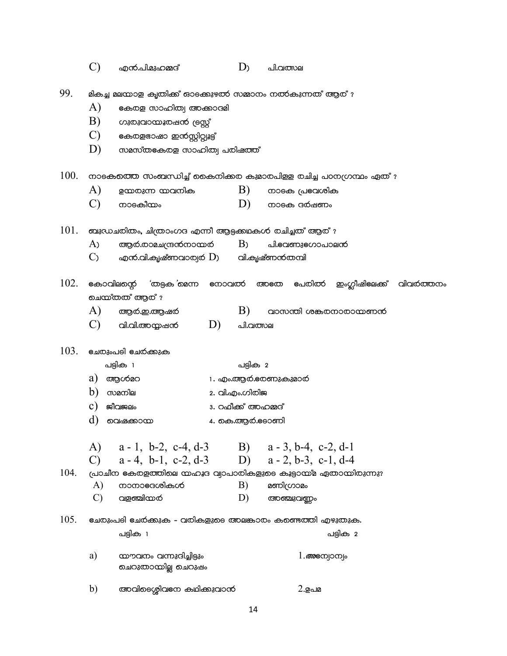|      | $\mathcal{C}$                                                                                                          | എൻ.പി.മുഹമ്മദ്                                  |                           | D <sub>2</sub>     | പി.വത്സല              |          |  |  |
|------|------------------------------------------------------------------------------------------------------------------------|-------------------------------------------------|---------------------------|--------------------|-----------------------|----------|--|--|
| 99.  | മികച്ച മലയാള കൃതിക്ക് ഓടക്കുഴൽ സമ്മാനം നൽകുന്നത് ആര് ?                                                                 |                                                 |                           |                    |                       |          |  |  |
|      | A)<br>കേരള സാഹിത്വ അക്കാദമി                                                                                            |                                                 |                           |                    |                       |          |  |  |
|      | B)                                                                                                                     | ഗുരുവായൂരഷൻ (eസ്റ്റ്                            |                           |                    |                       |          |  |  |
|      | C)                                                                                                                     | കേരളഭാഷാ ഇന്നസ്റ്റിറ്റ്വൂട്ട്                   |                           |                    |                       |          |  |  |
|      | D)                                                                                                                     | സമസ്തകേരള സാഹിത്വ പരിഷത്ത്                      |                           |                    |                       |          |  |  |
| 100. | നാടകത്തെ സംബന്ധിച്ച് കൈനിക്കര കുമാരപിള്ള രചിച്ച പഠനഗ്രന്ഥം ഏത് ?                                                       |                                                 |                           |                    |                       |          |  |  |
|      | A)                                                                                                                     | ഉയരുന്ന യവനിക                                   |                           | B)                 | നാടക പ്രവേശിക         |          |  |  |
|      | $\mathcal{C}$                                                                                                          | നാടകീയം                                         |                           | D)                 | നാടക ദർഷണം            |          |  |  |
| 101. | ബുഡചരിതം, ചിത്രാംഗദ എന്നീ ആട്ടക്കഥകൾ രചിച്ചത് ആര്?                                                                     |                                                 |                           |                    |                       |          |  |  |
|      | A <sub>)</sub>                                                                                                         | ആർ.രാമചന്ദ്രൻനായർ                               |                           | B <sub>2</sub>     | പി.eaണുeഗാപാലന്       |          |  |  |
|      | $\mathcal{C}_{\lambda}$                                                                                                | എൻ.വി.കൃഷ്ണവാര്വർ $\mathrm{D}$ ) വി.കൃഷ്ണൻതമ്പി |                           |                    |                       |          |  |  |
| 102. | കോവിലന്റെ 'തട്ടക'മെന്ന<br>അതേ പേരിൽ ഇംഗ്ലീഷിലേക്ക് വിവർത്തനം<br>നോവൽ<br>ചെയ്തത് ആര് ?                                  |                                                 |                           |                    |                       |          |  |  |
|      | A)                                                                                                                     | ആർ.ഇ.ആഷർ                                        |                           | B)                 | വാസന്തി ശങ്കരനാരായണന് |          |  |  |
|      | $\mathbf{C}$                                                                                                           | വി.വി.അയ്യഷൻ                                    | D)                        | പി.വത്സല           |                       |          |  |  |
| 103. | <u>ഭചരുംപടി ഭചര്ക്കുക</u>                                                                                              |                                                 |                           |                    |                       |          |  |  |
|      |                                                                                                                        | പട്ടിക 1                                        |                           | പട്ടിക 2           |                       |          |  |  |
|      | a)<br>ആശ്മറ                                                                                                            |                                                 |                           | 1. എം.ആർ.ഭരണുകുമാർ |                       |          |  |  |
|      | b)<br>സമനില                                                                                                            |                                                 |                           | 2. വി.എം.ഗിരിജ     |                       |          |  |  |
|      | $\mathbf{c})$<br>ജീവജലം                                                                                                |                                                 |                           | 3. റഫീക്ക് അഹമ്മദ് |                       |          |  |  |
|      | d)                                                                                                                     | വെഷക്കാന്മ                                      |                           |                    | 4. കെ.ആර.eeoണി        |          |  |  |
|      | $\mathcal{C}$                                                                                                          | A) a - 1, b-2, c-4, d-3 B) a - 3, b-4, c-2, d-1 |                           |                    |                       |          |  |  |
| 104. | $a - 4$ , b-1, c-2, d-3 D) $a - 2$ , b-3, c-1, d-4<br>പ്രാചീന കേരളത്തിലെ നഹൂദ വ്വാപാരികളുടെ കൂട്ടാന്മ്മ ഏതാന്മിരുന്നു? |                                                 |                           |                    |                       |          |  |  |
|      | A)                                                                                                                     | നാനാഭദശികൾ                                      |                           | B)                 | മണിഗ്രാമം             |          |  |  |
|      | $\mathcal{C}$                                                                                                          | വളഞ്ചിന്മൾ                                      |                           | D)                 | അഞ്ചുവണ്ണം            |          |  |  |
| 105. | ഭചരുംപടി ഭചര്ക്കുക - വരികളുടെ അലങ്കാരം കണ്ടെത്തി എഴുതുക.                                                               |                                                 |                           |                    |                       |          |  |  |
|      |                                                                                                                        | പട്ടിക 1                                        |                           |                    |                       | പട്ടിക 2 |  |  |
|      | a)                                                                                                                     | യൗവനം വന്നുദിച്ചിട്ടും<br>ചെറുതായില്ല ചെറുഷം    | $1.\textit{one}$ ന്യാന്യം |                    |                       |          |  |  |
|      | b)                                                                                                                     | അവിടെശ്ശിവനേ കഥിക്കുവാന്                        |                           |                    | 2.ഉപമ                 |          |  |  |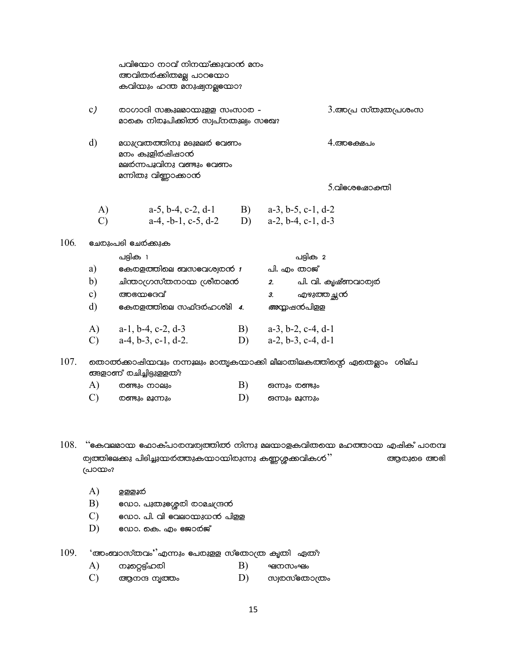|      |               | പവിന്നോ നാവ് നിനയ്ക്കുവാന് മനം<br>അവിതർക്കിതമല്ല പാറല്യോ<br>കവിയും ഹന്ത മനുഷ്വനല്ലുയോ?            |    |                                                                                  |  |  |  |  |
|------|---------------|---------------------------------------------------------------------------------------------------|----|----------------------------------------------------------------------------------|--|--|--|--|
|      | c)            | രാഗാദി സങ്കുലമായുളള സംസാത -<br>മാകെ നിരൂപിക്കിത്ക് സ്വപ്നതുല്വം സഭഖ?                              |    | $3.$ അപ്ര സ്തുതപ്രശംസ                                                            |  |  |  |  |
|      | $\mathbf{d}$  | aw acoromolos assanto earmo<br>മനം കുളിര്ഷിഷാൻ<br>മലർന്നപൂവിനു വണ്ടും ഭവണം<br>മന്നിതു വിണ്ണാക്കാൻ |    | 4.അക്ഷേപം                                                                        |  |  |  |  |
|      |               |                                                                                                   |    | 5.alecoeado.enal                                                                 |  |  |  |  |
|      | A)            |                                                                                                   |    |                                                                                  |  |  |  |  |
|      | $\mathcal{C}$ | a-5, b-4, c-2, d-1<br>B) a-3, b-5, c-1, d-2<br>a-4, -b-1, c-5, d-2<br>D) a-2, b-4, c-1, d-3       |    |                                                                                  |  |  |  |  |
| 106. |               | <b>ഭചരുംപ</b> ടി <b>ഭച</b> ർക്കുക                                                                 |    |                                                                                  |  |  |  |  |
|      |               | പട്ടിക 1                                                                                          |    | പട്ടിക 2                                                                         |  |  |  |  |
|      | a)            | eകരളത്തിലെ ബസeവശ്വരന് 1                                                                           |    | പി. എം താജ്                                                                      |  |  |  |  |
|      | b)            | മ്പന്താഗ്രസ്തനായ ശ്രീരാമൻ                                                                         |    | പി. വി. കൃഷ്ണവാര്വര<br>2.                                                        |  |  |  |  |
|      | c)            | അയേഭവ്                                                                                            |    | എഴുത്തച്ഛൻ<br>3.                                                                 |  |  |  |  |
|      | $\mathbf{d}$  | eകയളത്തിലെ സഫ്ദർഹശ്മി 4.                                                                          |    | <i>അ</i> ന്വഷൻപിളള                                                               |  |  |  |  |
|      | A)            | $a-1$ , $b-4$ , $c-2$ , $d-3$                                                                     | B) | $a-3$ , $b-2$ , $c-4$ , $d-1$                                                    |  |  |  |  |
|      | $\mathcal{C}$ | $a-4, b-3, c-1, d-2.$                                                                             | D) | $a-2, b-3, c-4, d-1$                                                             |  |  |  |  |
| 107. |               | തൊൽക്കാഷിയവും നന്നുലും മാതൃകയാക്കി ലീലാതിലകത്തിന്റെ ഏതെല്ലാം ശില്പ<br>ങ്ങളാണ് രചിച്ചിട്ടുള്ളത്?   |    |                                                                                  |  |  |  |  |
|      | A)            | ത്ത്ഭും നാലും                                                                                     | B) | ഒന്നും രണ്ടും                                                                    |  |  |  |  |
|      | $\mathbf{C}$  | ത്ത്ഭും മൂന്നും                                                                                   | D) | ഒന്നും മൂന്നും                                                                   |  |  |  |  |
| 108. | പ്രായം?       | ത്യത്തിലേക്കു പിടിച്ചുന്മർത്തുകന്മാന്മിരുന്നു കണ്ണശ്ശക്കവികൾ $"$                                  |    | ''കോലമായ ഫോക്പാരമ്പര്വത്തിൽ നിന്നു മലയാളകവിതയെ മഹത്തായ എഷിക് പാരമ്പ<br>ആരുടെ അഭി |  |  |  |  |

- $\bf{A}$ ഉള്ളൂര്
- B) eഡാ. പുതു**e**ശ്ശൂരി രാമചന്ദ്രൻ
- $\mathcal{C}$ ഡോ. പി. വി വേലായുധൻ പിളള
- D) ഡോ. കെ. എം ജോർജ്

109. 'അംബാസ്തവം''എന്നും പേരുളള സ്തോത്ര കൃതി ഏതു

- നൂറ്റെട്ട്ഹരി A) B) ഘനസംഘം
- $\mathcal{C}$ ആനന്ദ നൃത്തം D) ൜ത്രയാത്രം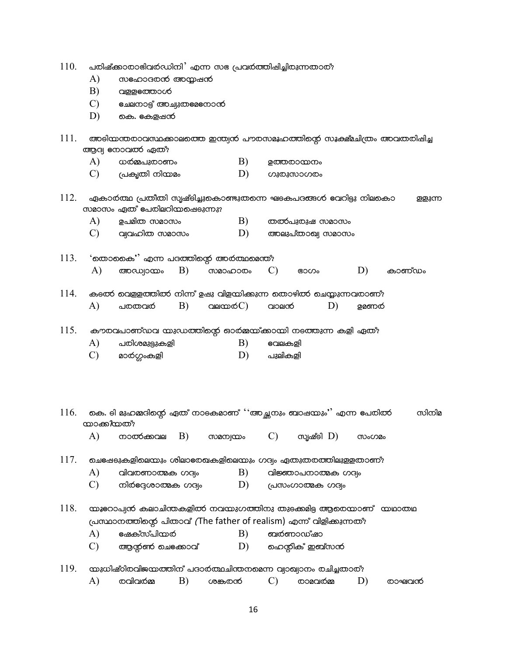- 110. പരിഷ്ക്കാരാഭിവര്ഡിനി' എന്ന സഭ പ്രവര്ത്തിഷിച്ചിരുന്നതാര്?
	- $\bf{A}$ സഹോദതന് അന്മഷന്
	- $B)$ വള്ളഭത്താൾ
	- $\mathcal{C}$ ഭചലനാട്ട് അച്വുതല്ലനോന്
	- കെ. ഭകളപ്പൻ D)
- 111. അടിന്മന്തരാവസ്ഥക്കാലത്തെ ഇന്ത്യന് പൗരസമൂഹത്തിന്റെ സൂക്ഷ്മചിത്രം അവതരിഷിച്ച ആദ്യ നോവൽ ഏതു.
	- $B)$ A) ധർമ്മപുരാണം ഉത്തരായനം
	- $\mathcal{C}$ പ്രകൃതി നിയമം  $D)$ *coscomscosco*
- 112. ഏകാര്ത്ഥ പ്രതീതി സൃഷ്ടിച്ചുകൊണ്ടുതന്നെ ഘടകപദങ്ങൾ ഭവറിട്ടു നിലകൊ ള്ളുന്ന സമാസം ഏത് പേരിലറിയപ്പെടുന്നു?
	- $\bf{A}$ ഉപമിത സമാസം B) തൽപുരുഷ സമാസം
	- $\mathcal{C}$ വ്വവഹിത സമാസം D) അലുപ്താഖ്യ സമാസം
- $113.$ 'തൊകൈ' എന്ന പദത്തിന്റെ അര്ത്ഥമെന്ത്?  $\bf{A}$ അഡ്വായം  $B)$ ൜മാഹാതം  $\mathcal{C}$  $D)$ കാണ്ഡം ഭാഗം
- കടൽ വെളളത്തിൽ നിന്ന് ഉഷു വിളയിക്കുന്ന തൊഴിൽ ചെയ്യുന്നവരാണ്? 114. വലയ $\phi$  $\circ$  $\circ$ A) പരതവരി B) വാലന് D) ഉമണർ
- 115. കൗരവപാണ്ഡവ യുഡത്തിന്റെ ഓർമ്മയ്ക്കായി നടത്തുന്ന കളി ഏത്?
	- പതിശമുല്പുകളി A) B) €വലകളി
	- $\mathbf{C}$  $D)$ മാർഗ്ഗംകളി പുലികളി

കെ. ടി മുഹമ്മദിന്റെ ഏത് നാടകമാണ് ''അച്ഛനും ബാഷയും'' എന്ന പേരിൽ 116. സിനിമ **യാക്കിയത്?** 

 $\bf{A}$ നാൽക്കവല B) സമന്വയം  $\mathcal{C}$ സൃഷ്ടി  $D$ ) സംഗമം

117. ചെട്ഷേടുകളിലെന്മും ശിലാഭരഖകളിലെന്മും ഗദ്യം ഏതുതരത്തിലുളളതാണ്?

- വിവരണാത്മക ഗദ്വം വിജ്ഞാപനാത്മക ഗദ്ധം A) B)
- $\mathcal{C}$ നിർദ്ദേശാത്മക ഗദ്വം D) (പസംഗാത്മക ഗദ്വം

118. യൂറോപ്വൻ കലാചിന്തകളിൽ നവയുഗത്തിനു തുടക്കമിട്ട ആരെയാണ് യഥാതഥ (പസ്ഥാനത്തിന്റെ പിതാവ് (The father of realism) എന്ന് വിളിക്കുന്നത്?

- ഭഷക്സ്പിയർ  $\bf{A}$  $B)$ ബര്ണാഡ്ഷാ
- $\mathcal{C}$ ആന്ത് ചെടക്കാവ്  $D)$ ഹെന്റിക് ഇബ്സൻ
- 119. യുധിഷ്ഠിരവിജയത്തിന് പദാര്ത്ഥചിന്തനമെന്ന വ്വാഖ്വാനം രചിച്ചതാര്?

| . . | ාඟන<br>oilc<br>ത |  | റ്റസ്<br>ாச<br>かいいに |  | ഠാമവനമ്മ<br>ωĸ |  | אמכ.<br>$\sim$ $\sim$ $\sim$ $\sim$<br>ומסר<br>œ |
|-----|------------------|--|---------------------|--|----------------|--|--------------------------------------------------|
|-----|------------------|--|---------------------|--|----------------|--|--------------------------------------------------|